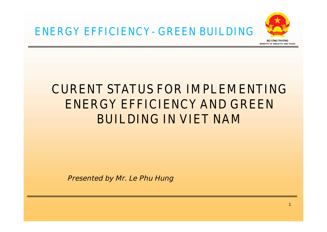

# **CURENT STATUS FOR IMPLEMENTING ENERGY EFFICIENCY AND GREEN BUILDING IN VIET NAM**

**Presented by Mr. Le Phu Hung**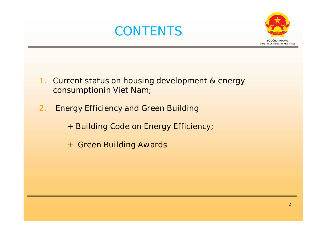# **CONTENTS**



- **1. Current status on housing development & energy consumptionin Viet Nam;**
- **2. Energy Efficiency and Green Building**
	- **+ Building Code on Energy Efficiency;**
	- **+ Green Building Awards**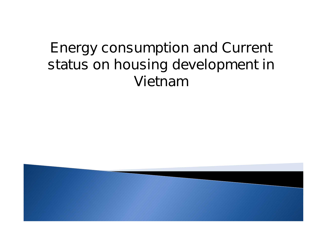# **Energy consumption and Current status on housing development in Vietnam**

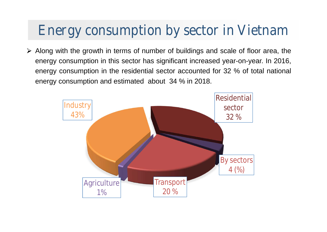# **Energy consumption by sector in Vietnam**

 $\triangleright$  Along with the growth in terms of number of buildings and scale of floor area, the energy consumption in this sector has significant increased year-on-year. In 2016, energy consumption in the residential sector accounted for 32 % of total national energy consumption and estimated about 34 % in 2018.

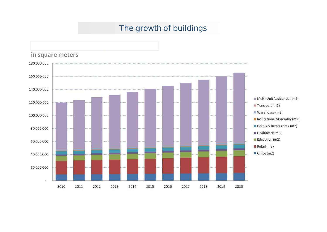#### **The growth of buildings**

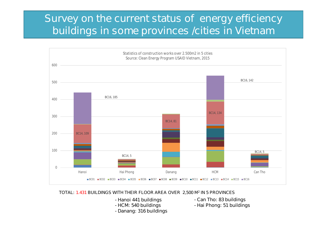### **Survey on the current status of energy efficiency buildings in some provinces /cities in Vietnam**



#### **TOTAL: 1.431 BUILDINGS WITH THEIR FLOOR AREA OVER 2,500 M<sup>2</sup> IN 5 PROVINCES**

- *- Hanoi 441 buildings*
- *- HCM: 540 buildings*
- *- Danang: 316 buildings*
- *- Can Tho: 83 buildings*
- *- Hai Phong: 51 buildings*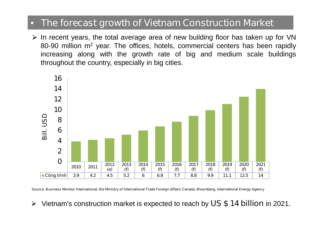#### • **The forecast growth of Vietnam Construction Market**

 $\triangleright$  In recent years, the total average area of new building floor has taken up for VN 80-90 million m<sup>2</sup> year. The offices, hotels, commercial centers has been rapidly increasing along with the growth rate of big and medium scale buildings throughout the country, especially in big cities.



Source: Business Monitor International, the Ministry of International Trade Foreign Affairs Canada, Bloomberg, International Energy Agency

Vietnam's construction market is expected to reach by **US \$ 14 billion** in 2021. $\blacktriangleright$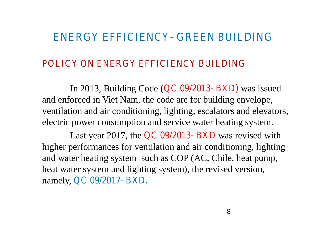### **ENERGY EFFICIENCY- GREEN BUILDING**

#### **POLICY ON ENERGY EFFICIENCY BUILDING**

In 2013, Building Code (**QC 09/2013- BXD)** was issued and enforced in Viet Nam, the code are for building envelope, ventilation and air conditioning, lighting, escalators and elevators, electric power consumption and service water heating system.

Last year 2017, the **QC 09/2013- BXD** was revised with higher performances for ventilation and air conditioning, lighting and water heating system such as COP (AC, Chile, heat pump, heat water system and lighting system), the revised version, namely, **QC 09/2017- BXD.**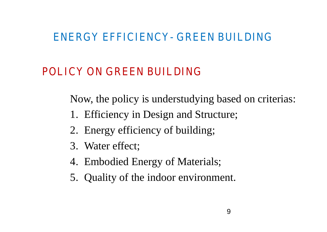### **ENERGY EFFICIENCY- GREEN BUILDING**

# **POLICY ON GREEN BUILDING**

Now, the policy is understudying based on criterias:

- 1. Efficiency in Design and Structure;
- 2. Energy efficiency of building;
- 3. Water effect;
- 4. Embodied Energy of Materials;
- 5. Quality of the indoor environment.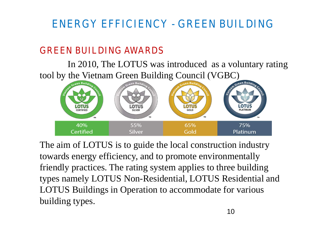# **ENERGY EFFICIENCY - GREEN BUILDING**

### **GREEN BUILDING AWARDS**

In 2010, The LOTUS was introduced as a voluntary rating tool by the Vietnam Green Building Council (VGBC)



The aim of LOTUS is to guide the local construction industry towards energy efficiency, and to promote environmentally friendly practices. The rating system applies to three building types namely LOTUS Non-Residential, LOTUS Residential and LOTUS Buildings in Operation to accommodate for various building types.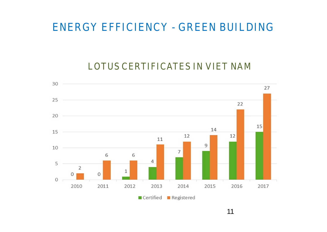### **ENERGY EFFICIENCY - GREEN BUILDING**

#### **LOTUS CERTIFICATES IN VIET NAM**

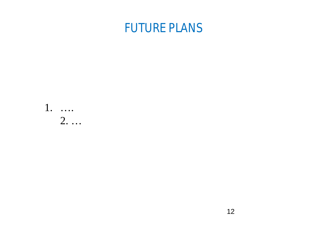# **FUTURE PLANS**

1. …. 2. …